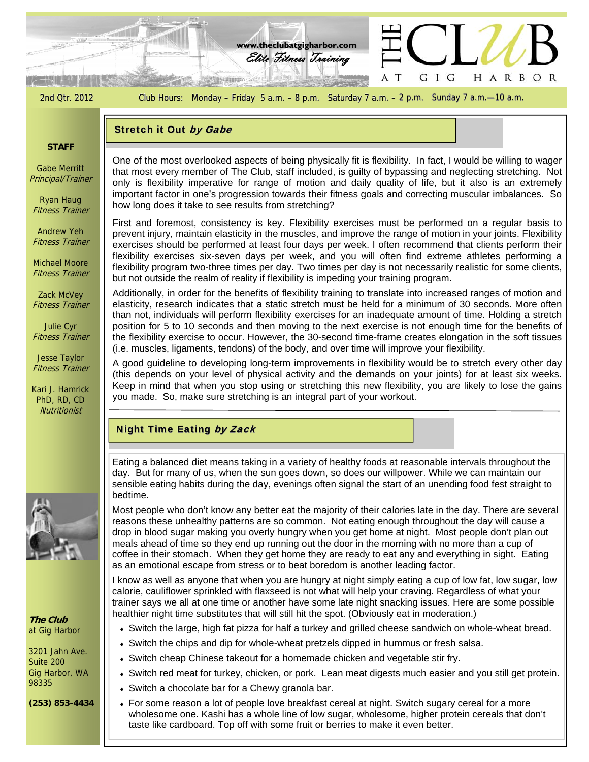

# Stretch it Out by Gabe

### **STAFF**

Gabe Merritt Principal/Trainer

Ryan Haug Fitness Trainer

Andrew Yeh Fitness Trainer

Michael Moore Fitness Trainer

Zack McVey Fitness Trainer

Julie Cyr Fitness Trainer

Jesse Taylor Fitness Trainer

Kari J. Hamrick PhD, RD, CD **Nutritionist** 

only is flexibility imperative for range of motion and daily quality of life, but it also is an extremely<br>important factor in one's progression towards their fitness goals and correcting muscular imbalances. So One of the most overlooked aspects of being physically fit is flexibility. In fact, I would be willing to wager that most every member of The Club, staff included, is guilty of bypassing and neglecting stretching. Not only is flexibility imperative for range of motion and daily quality of life, but it also is an extremely how long does it take to see results from stretching?

First and foremost, consistency is key. Flexibility exercises must be performed on a regular basis to prevent injury, maintain elasticity in the muscles, and improve the range of motion in your joints. Flexibility exercises should be performed at least four days per week. I often recommend that clients perform their flexibility exercises six-seven days per week, and you will often find extreme athletes performing a flexibility program two-three times per day. Two times per day is not necessarily realistic for some clients, but not outside the realm of reality if flexibility is impeding your training program.

Additionally, in order for the benefits of flexibility training to translate into increased ranges of motion and elasticity, research indicates that a static stretch must be held for a minimum of 30 seconds. More often than not, individuals will perform flexibility exercises for an inadequate amount of time. Holding a stretch position for 5 to 10 seconds and then moving to the next exercise is not enough time for the benefits of the flexibility exercise to occur. However, the 30-second time-frame creates elongation in the soft tissues (i.e. muscles, ligaments, tendons) of the body, and over time will improve your flexibility.

A good guideline to developing long-term improvements in flexibility would be to stretch every other day (this depends on your level of physical activity and the demands on your joints) for at least six weeks. Keep in mind that when you stop using or stretching this new flexibility, you are likely to lose the gains you made. So, make sure stretching is an integral part of your workout.

# Night Time Eating by Zack

Eating a balanced diet means taking in a variety of healthy foods at reasonable intervals throughout the day. But for many of us, when the sun goes down, so does our willpower. While we can maintain our sensible eating habits during the day, evenings often signal the start of an unending food fest straight to bedtime.

Most people who don't know any better eat the majority of their calories late in the day. There are several reasons these unhealthy patterns are so common. Not eating enough throughout the day will cause a drop in blood sugar making you overly hungry when you get home at night. Most people don't plan out meals ahead of time so they end up running out the door in the morning with no more than a cup of coffee in their stomach. When they get home they are ready to eat any and everything in sight. Eating as an emotional escape from stress or to beat boredom is another leading factor.

I know as well as anyone that when you are hungry at night simply eating a cup of low fat, low sugar, low calorie, cauliflower sprinkled with flaxseed is not what will help your craving. Regardless of what your trainer says we all at one time or another have some late night snacking issues. Here are some possible healthier night time substitutes that will still hit the spot. (Obviously eat in moderation.)

- Switch the large, high fat pizza for half a turkey and grilled cheese sandwich on whole-wheat bread.
- Switch the chips and dip for whole-wheat pretzels dipped in hummus or fresh salsa.
- Switch cheap Chinese takeout for a homemade chicken and vegetable stir fry.
- Switch red meat for turkey, chicken, or pork. Lean meat digests much easier and you still get protein.
- Switch a chocolate bar for a Chewy granola bar.
- For some reason a lot of people love breakfast cereal at night. Switch sugary cereal for a more wholesome one. Kashi has a whole line of low sugar, wholesome, higher protein cereals that don't taste like cardboard. Top off with some fruit or berries to make it even better.



**The Club**  at Gig Harbor

3201 Jahn Ave. Suite 200 Gig Harbor, WA 98335

**(253) 853-4434**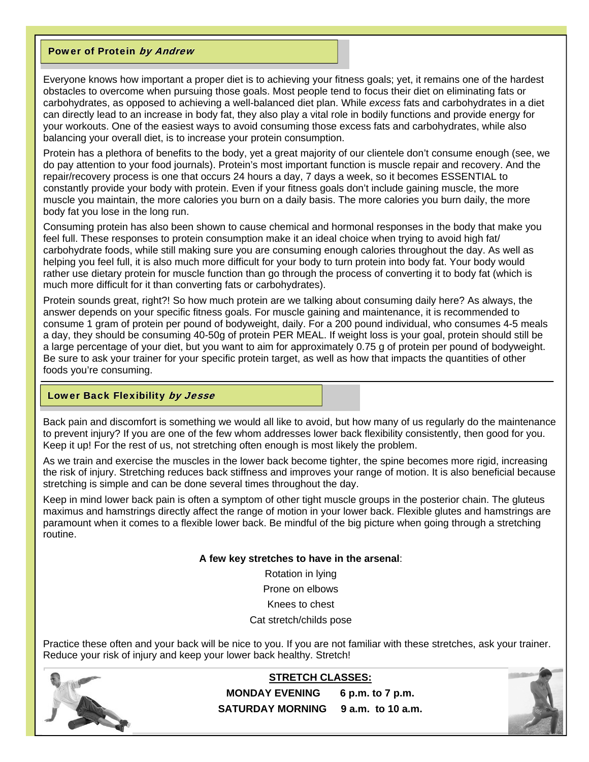# Power of Protein by Andrew

Everyone knows how important a proper diet is to achieving your fitness goals; yet, it remains one of the hardest obstacles to overcome when pursuing those goals. Most people tend to focus their diet on eliminating fats or carbohydrates, as opposed to achieving a well-balanced diet plan. While *excess* fats and carbohydrates in a diet can directly lead to an increase in body fat, they also play a vital role in bodily functions and provide energy for your workouts. One of the easiest ways to avoid consuming those excess fats and carbohydrates, while also balancing your overall diet, is to increase your protein consumption.

Protein has a plethora of benefits to the body, yet a great majority of our clientele don't consume enough (see, we do pay attention to your food journals). Protein's most important function is muscle repair and recovery. And the repair/recovery process is one that occurs 24 hours a day, 7 days a week, so it becomes ESSENTIAL to constantly provide your body with protein. Even if your fitness goals don't include gaining muscle, the more muscle you maintain, the more calories you burn on a daily basis. The more calories you burn daily, the more body fat you lose in the long run.

Consuming protein has also been shown to cause chemical and hormonal responses in the body that make you feel full. These responses to protein consumption make it an ideal choice when trying to avoid high fat/ carbohydrate foods, while still making sure you are consuming enough calories throughout the day. As well as helping you feel full, it is also much more difficult for your body to turn protein into body fat. Your body would rather use dietary protein for muscle function than go through the process of converting it to body fat (which is much more difficult for it than converting fats or carbohydrates).

Protein sounds great, right?! So how much protein are we talking about consuming daily here? As always, the answer depends on your specific fitness goals. For muscle gaining and maintenance, it is recommended to consume 1 gram of protein per pound of bodyweight, daily. For a 200 pound individual, who consumes 4-5 meals a day, they should be consuming 40-50g of protein PER MEAL. If weight loss is your goal, protein should still be a large percentage of your diet, but you want to aim for approximately 0.75 g of protein per pound of bodyweight. Be sure to ask your trainer for your specific protein target, as well as how that impacts the quantities of other foods you're consuming.

# Lower Back Flexibility by Jesse

Back pain and discomfort is something we would all like to avoid, but how many of us regularly do the maintenance to prevent injury? If you are one of the few whom addresses lower back flexibility consistently, then good for you. Keep it up! For the rest of us, not stretching often enough is most likely the problem.

As we train and exercise the muscles in the lower back become tighter, the spine becomes more rigid, increasing the risk of injury. Stretching reduces back stiffness and improves your range of motion. It is also beneficial because stretching is simple and can be done several times throughout the day.

Keep in mind lower back pain is often a symptom of other tight muscle groups in the posterior chain. The gluteus maximus and hamstrings directly affect the range of motion in your lower back. Flexible glutes and hamstrings are paramount when it comes to a flexible lower back. Be mindful of the big picture when going through a stretching routine.

#### **A few key stretches to have in the arsenal**:

Rotation in lying

Prone on elbows

Knees to chest

Cat stretch/childs pose

Practice these often and your back will be nice to you. If you are not familiar with these stretches, ask your trainer. Reduce your risk of injury and keep your lower back healthy. Stretch!



**STRETCH CLASSES: MONDAY EVENING 6 p.m. to 7 p.m. SATURDAY MORNING 9 a.m. to 10 a.m.** 

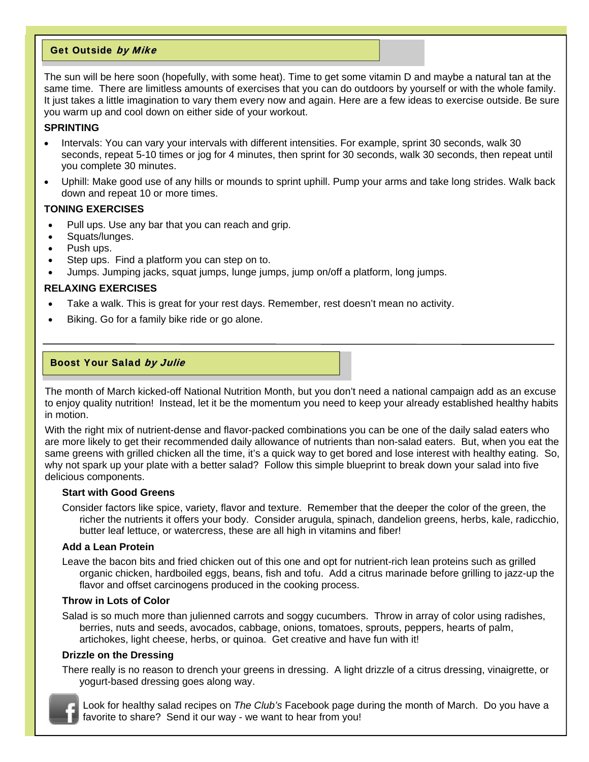# Get Outside by Mike

The sun will be here soon (hopefully, with some heat). Time to get some vitamin D and maybe a natural tan at the same time. There are limitless amounts of exercises that you can do outdoors by yourself or with the whole family. It just takes a little imagination to vary them every now and again. Here are a few ideas to exercise outside. Be sure you warm up and cool down on either side of your workout.

# **SPRINTING**

- Intervals: You can vary your intervals with different intensities. For example, sprint 30 seconds, walk 30 seconds, repeat 5-10 times or jog for 4 minutes, then sprint for 30 seconds, walk 30 seconds, then repeat until you complete 30 minutes.
- Uphill: Make good use of any hills or mounds to sprint uphill. Pump your arms and take long strides. Walk back down and repeat 10 or more times.

## **TONING EXERCISES**

- Pull ups. Use any bar that you can reach and grip.
- Squats/lunges.
- Push ups.
- Step ups. Find a platform you can step on to.
- Jumps. Jumping jacks, squat jumps, lunge jumps, jump on/off a platform, long jumps.

## **RELAXING EXERCISES**

- Take a walk. This is great for your rest days. Remember, rest doesn't mean no activity.
- Biking. Go for a family bike ride or go alone.

## Boost Your Salad by Julie

The month of March kicked-off National Nutrition Month, but you don't need a national campaign add as an excuse to enjoy quality nutrition! Instead, let it be the momentum you need to keep your already established healthy habits in motion.

With the right mix of nutrient-dense and flavor-packed combinations you can be one of the daily salad eaters who are more likely to get their recommended daily allowance of nutrients than non-salad eaters. But, when you eat the same greens with grilled chicken all the time, it's a quick way to get bored and lose interest with healthy eating. So, why not spark up your plate with a better salad? Follow this simple blueprint to break down your salad into five delicious components.

#### **Start with Good Greens**

Consider factors like spice, variety, flavor and texture. Remember that the deeper the color of the green, the richer the nutrients it offers your body. Consider arugula, spinach, dandelion greens, herbs, kale, radicchio, butter leaf lettuce, or watercress, these are all high in vitamins and fiber!

#### **Add a Lean Protein**

Leave the bacon bits and fried chicken out of this one and opt for nutrient-rich lean proteins such as grilled organic chicken, hardboiled eggs, beans, fish and tofu. Add a citrus marinade before grilling to jazz-up the flavor and offset carcinogens produced in the cooking process.

## **Throw in Lots of Color**

Salad is so much more than julienned carrots and soggy cucumbers. Throw in array of color using radishes, berries, nuts and seeds, avocados, cabbage, onions, tomatoes, sprouts, peppers, hearts of palm, artichokes, light cheese, herbs, or quinoa. Get creative and have fun with it!

### **Drizzle on the Dressing**

There really is no reason to drench your greens in dressing. A light drizzle of a citrus dressing, vinaigrette, or yogurt-based dressing goes along way.



Look for healthy salad recipes on *The Club's* Facebook page during the month of March. Do you have a favorite to share? Send it our way - we want to hear from you!